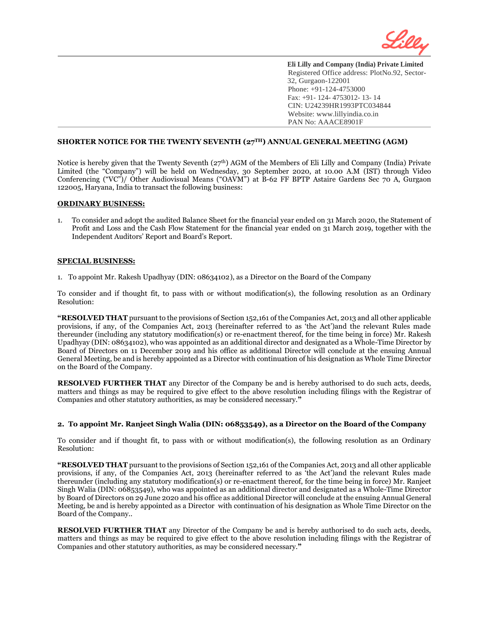

# **SHORTER NOTICE FOR THE TWENTY SEVENTH (27TH) ANNUAL GENERAL MEETING (AGM)**

Notice is hereby given that the Twenty Seventh (27<sup>th</sup>) AGM of the Members of Eli Lilly and Company (India) Private Limited (the "Company") will be held on Wednesday, 30 September 2020, at 10.00 A.M (IST) through Video Conferencing ("VC")/ Other Audiovisual Means ("OAVM") at B-62 FF BPTP Astaire Gardens Sec 70 A, Gurgaon 122005, Haryana, India to transact the following business:

### **ORDINARY BUSINESS:**

l

1. To consider and adopt the audited Balance Sheet for the financial year ended on 31 March 2020, the Statement of Profit and Loss and the Cash Flow Statement for the financial year ended on 31 March 2019, together with the Independent Auditors' Report and Board's Report.

### **SPECIAL BUSINESS:**

1. To appoint Mr. Rakesh Upadhyay (DIN: 08634102), as a Director on the Board of the Company

To consider and if thought fit, to pass with or without modification(s), the following resolution as an Ordinary Resolution:

**"RESOLVED THAT** pursuant to the provisions of Section 152,161 of the Companies Act, 2013 and all other applicable provisions, if any, of the Companies Act, 2013 (hereinafter referred to as 'the Act')and the relevant Rules made thereunder (including any statutory modification(s) or re-enactment thereof, for the time being in force) Mr. Rakesh Upadhyay (DIN: 08634102), who was appointed as an additional director and designated as a Whole-Time Director by Board of Directors on 11 December 2019 and his office as additional Director will conclude at the ensuing Annual General Meeting, be and is hereby appointed as a Director with continuation of his designation as Whole Time Director on the Board of the Company.

**RESOLVED FURTHER THAT** any Director of the Company be and is hereby authorised to do such acts, deeds, matters and things as may be required to give effect to the above resolution including filings with the Registrar of Companies and other statutory authorities, as may be considered necessary.**"**

### **2. To appoint Mr. Ranjeet Singh Walia (DIN: 06853549), as a Director on the Board of the Company**

To consider and if thought fit, to pass with or without modification(s), the following resolution as an Ordinary Resolution:

**"RESOLVED THAT** pursuant to the provisions of Section 152,161 of the Companies Act, 2013 and all other applicable provisions, if any, of the Companies Act, 2013 (hereinafter referred to as 'the Act')and the relevant Rules made thereunder (including any statutory modification(s) or re-enactment thereof, for the time being in force) Mr. Ranjeet Singh Walia (DIN: 06853549), who was appointed as an additional director and designated as a Whole-Time Director by Board of Directors on 29 June 2020 and his office as additional Director will conclude at the ensuing Annual General Meeting, be and is hereby appointed as a Director with continuation of his designation as Whole Time Director on the Board of the Company..

**RESOLVED FURTHER THAT** any Director of the Company be and is hereby authorised to do such acts, deeds, matters and things as may be required to give effect to the above resolution including filings with the Registrar of Companies and other statutory authorities, as may be considered necessary.**"**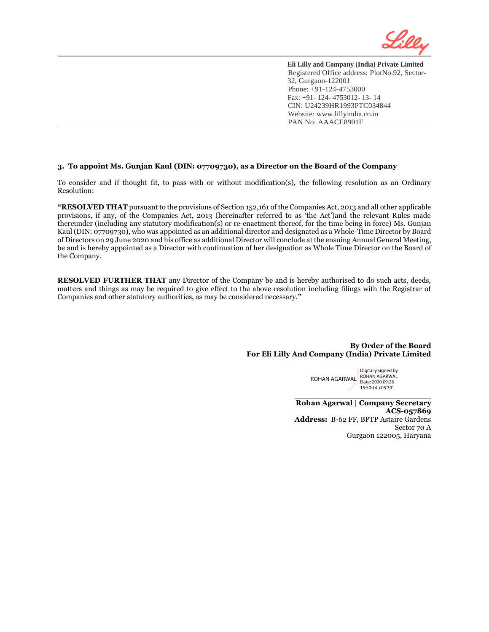

## **3. To appoint Ms. Gunjan Kaul (DIN: 07709730), as a Director on the Board of the Company**

l

To consider and if thought fit, to pass with or without modification(s), the following resolution as an Ordinary Resolution:

**"RESOLVED THAT** pursuant to the provisions of Section 152,161 of the Companies Act, 2013 and all other applicable provisions, if any, of the Companies Act, 2013 (hereinafter referred to as 'the Act')and the relevant Rules made thereunder (including any statutory modification(s) or re-enactment thereof, for the time being in force) Ms. Gunjan Kaul (DIN: 07709730), who was appointed as an additional director and designated as a Whole-Time Director by Board of Directors on 29 June 2020 and his office as additional Director will conclude at the ensuing Annual General Meeting, be and is hereby appointed as a Director with continuation of her designation as Whole Time Director on the Board of the Company.

**RESOLVED FURTHER THAT** any Director of the Company be and is hereby authorised to do such acts, deeds, matters and things as may be required to give effect to the above resolution including filings with the Registrar of Companies and other statutory authorities, as may be considered necessary.**"**

## **By Order of the Board For Eli Lilly And Company (India) Private Limited**

ROHAN AGARWAL Digitally signed by ROHAN AGARWAL Date: 2020.09.28 15:50:14 +05'30'

**Rohan Agarwal | Company Secretary ACS-057869 Address:** B-62 FF, BPTP Astaire Gardens Sector 70 A Gurgaon 122005, Haryana

**\_\_\_\_\_\_\_\_\_\_\_\_\_\_\_\_\_\_\_\_\_\_\_\_\_\_\_**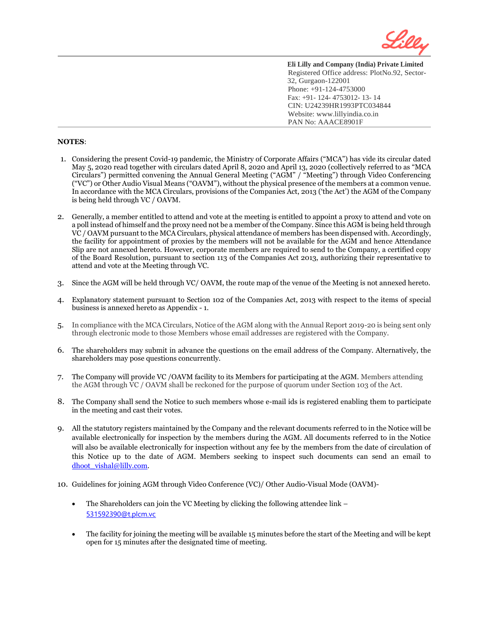

# **NOTES**:

- 1. Considering the present Covid-19 pandemic, the Ministry of Corporate Affairs ("MCA") has vide its circular dated May 5, 2020 read together with circulars dated April 8, 2020 and April 13, 2020 (collectively referred to as "MCA Circulars") permitted convening the Annual General Meeting ("AGM" / "Meeting") through Video Conferencing ("VC") or Other Audio Visual Means ("OAVM"), without the physical presence of the members at a common venue. In accordance with the MCA Circulars, provisions of the Companies Act, 2013 ('the Act') the AGM of the Company is being held through VC / OAVM.
- 2. Generally, a member entitled to attend and vote at the meeting is entitled to appoint a proxy to attend and vote on a poll instead of himself and the proxy need not be a member of the Company. Since this AGM is being held through VC / OAVM pursuant to the MCA Circulars, physical attendance of members has been dispensed with. Accordingly, the facility for appointment of proxies by the members will not be available for the AGM and hence Attendance Slip are not annexed hereto. However, corporate members are required to send to the Company, a certified copy of the Board Resolution, pursuant to section 113 of the Companies Act 2013, authorizing their representative to attend and vote at the Meeting through VC.
- 3. Since the AGM will be held through VC/ OAVM, the route map of the venue of the Meeting is not annexed hereto.
- 4. Explanatory statement pursuant to Section 102 of the Companies Act, 2013 with respect to the items of special business is annexed hereto as Appendix - 1.
- 5. In compliance with the MCA Circulars, Notice of the AGM along with the Annual Report 2019-20 is being sent only through electronic mode to those Members whose email addresses are registered with the Company.
- 6. The shareholders may submit in advance the questions on the email address of the Company. Alternatively, the shareholders may pose questions concurrently.
- 7. The Company will provide VC /OAVM facility to its Members for participating at the AGM. Members attending the AGM through VC / OAVM shall be reckoned for the purpose of quorum under Section 103 of the Act.
- 8. The Company shall send the Notice to such members whose e-mail ids is registered enabling them to participate in the meeting and cast their votes.
- 9. All the statutory registers maintained by the Company and the relevant documents referred to in the Notice will be available electronically for inspection by the members during the AGM. All documents referred to in the Notice will also be available electronically for inspection without any fee by the members from the date of circulation of this Notice up to the date of AGM. Members seeking to inspect such documents can send an email to [dhoot\\_vishal@lilly.com.](mailto:dhoot_vishal@lilly.com)
- 10. Guidelines for joining AGM through Video Conference (VC)/ Other Audio-Visual Mode (OAVM)-
	- The Shareholders can join the VC Meeting by clicking the following attendee link [531592390@t.plcm.vc](mailto:531592390@t.plcm.vc)
	- The facility for joining the meeting will be available 15 minutes before the start of the Meeting and will be kept open for 15 minutes after the designated time of meeting.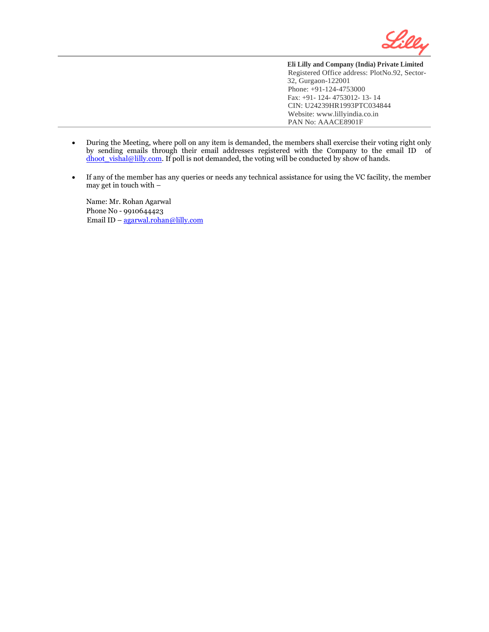

- During the Meeting, where poll on any item is demanded, the members shall exercise their voting right only by sending emails through their email addresses registered with the Company to the email ID of dhoot vishal@lilly.com. If poll is not demanded, the voting will be conducted by show of hands.
- If any of the member has any queries or needs any technical assistance for using the VC facility, the member may get in touch with –

Name: Mr. Rohan Agarwal Phone No - 9910644423 Email ID – [agarwal.rohan@lilly.com](mailto:agarwal.rohan@lilly.com)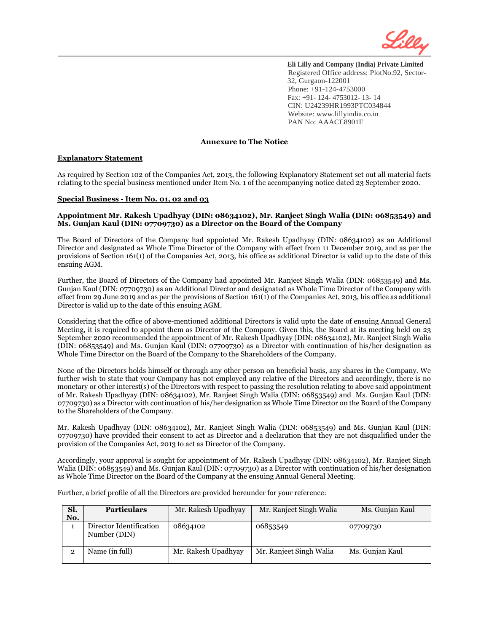

# **Annexure to The Notice**

### **Explanatory Statement**

l

As required by Section 102 of the Companies Act, 2013, the following Explanatory Statement set out all material facts relating to the special business mentioned under Item No. 1 of the accompanying notice dated 23 September 2020.

### **Special Business - Item No. 01, 02 and 03**

### **Appointment Mr. Rakesh Upadhyay (DIN: 08634102), Mr. Ranjeet Singh Walia (DIN: 06853549) and Ms. Gunjan Kaul (DIN: 07709730) as a Director on the Board of the Company**

The Board of Directors of the Company had appointed Mr. Rakesh Upadhyay (DIN: 08634102) as an Additional Director and designated as Whole Time Director of the Company with effect from 11 December 2019, and as per the provisions of Section 161(1) of the Companies Act, 2013, his office as additional Director is valid up to the date of this ensuing AGM.

Further, the Board of Directors of the Company had appointed Mr. Ranjeet Singh Walia (DIN: 06853549) and Ms. Gunjan Kaul (DIN: 07709730) as an Additional Director and designated as Whole Time Director of the Company with effect from 29 June 2019 and as per the provisions of Section 161(1) of the Companies Act, 2013, his office as additional Director is valid up to the date of this ensuing AGM.

Considering that the office of above-mentioned additional Directors is valid upto the date of ensuing Annual General Meeting, it is required to appoint them as Director of the Company. Given this, the Board at its meeting held on 23 September 2020 recommended the appointment of Mr. Rakesh Upadhyay (DIN: 08634102), Mr. Ranjeet Singh Walia (DIN: 06853549) and Ms. Gunjan Kaul (DIN: 07709730) as a Director with continuation of his/her designation as Whole Time Director on the Board of the Company to the Shareholders of the Company.

None of the Directors holds himself or through any other person on beneficial basis, any shares in the Company. We further wish to state that your Company has not employed any relative of the Directors and accordingly, there is no monetary or other interest(s) of the Directors with respect to passing the resolution relating to above said appointment of Mr. Rakesh Upadhyay (DIN: 08634102), Mr. Ranjeet Singh Walia (DIN: 06853549) and Ms. Gunjan Kaul (DIN: 07709730) as a Director with continuation of his/her designation as Whole Time Director on the Board of the Company to the Shareholders of the Company.

Mr. Rakesh Upadhyay (DIN: 08634102), Mr. Ranjeet Singh Walia (DIN: 06853549) and Ms. Gunjan Kaul (DIN: 07709730) have provided their consent to act as Director and a declaration that they are not disqualified under the provision of the Companies Act, 2013 to act as Director of the Company.

Accordingly, your approval is sought for appointment of Mr. Rakesh Upadhyay (DIN: 08634102), Mr. Ranjeet Singh Walia (DIN: 06853549) and Ms. Gunjan Kaul (DIN: 07709730) as a Director with continuation of his/her designation as Whole Time Director on the Board of the Company at the ensuing Annual General Meeting.

Further, a brief profile of all the Directors are provided hereunder for your reference:

| Sl. | <b>Particulars</b>                      | Mr. Rakesh Upadhyay | Mr. Ranjeet Singh Walia | Ms. Gunjan Kaul |
|-----|-----------------------------------------|---------------------|-------------------------|-----------------|
| No. |                                         |                     |                         |                 |
|     | Director Identification<br>Number (DIN) | 08634102            | 06853549                | 07709730        |
| 2   | Name (in full)                          | Mr. Rakesh Upadhyay | Mr. Ranjeet Singh Walia | Ms. Gunjan Kaul |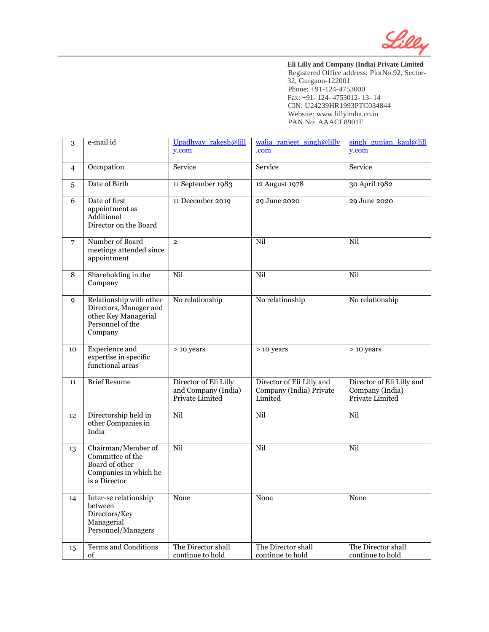

| 3              | e-mail id                                                                                                | Upadhyay rakesh@lill                                            | walia ranjeet singh@lilly                                       | singh gunjan kaul@lill                                          |
|----------------|----------------------------------------------------------------------------------------------------------|-----------------------------------------------------------------|-----------------------------------------------------------------|-----------------------------------------------------------------|
|                |                                                                                                          | y.com                                                           | .com                                                            | y.com                                                           |
| $\overline{4}$ | Occupation                                                                                               | Service                                                         | Service                                                         | Service                                                         |
| 5.             | Date of Birth                                                                                            | 11 September 1983                                               | 12 August 1978                                                  | 30 April 1982                                                   |
| 6              | Date of first<br>appointment as<br>Additional<br>Director on the Board                                   | 11 December 2019                                                | 29 June 2020                                                    | 29 June 2020                                                    |
| 7              | Number of Board<br>meetings attended since<br>appointment                                                | $\overline{2}$                                                  | Nil                                                             | Nil                                                             |
| 8              | Shareholding in the<br>Company                                                                           | Nil                                                             | Nil                                                             | Nil                                                             |
| 9              | Relationship with other<br>Directors, Manager and<br>other Key Managerial<br>Personnel of the<br>Company | No relationship                                                 | No relationship                                                 | No relationship                                                 |
| 10             | <b>Experience</b> and<br>expertise in specific<br>functional areas                                       | > 10 years                                                      | > 10 years                                                      | > 10 years                                                      |
| 11             | <b>Brief Resume</b>                                                                                      | Director of Eli Lilly<br>and Company (India)<br>Private Limited | Director of Eli Lilly and<br>Company (India) Private<br>Limited | Director of Eli Lilly and<br>Company (India)<br>Private Limited |
| 12             | Directorship held in<br>other Companies in<br>India                                                      | Nil                                                             | Nil                                                             | Nil                                                             |
| 13             | Chairman/Member of<br>Committee of the<br>Board of other<br>Companies in which he<br>is a Director       | Nil                                                             | Nil                                                             | Nil                                                             |
| 14             | Inter-se relationship<br>between<br>Directors/Key<br>Managerial<br>Personnel/Managers                    | None                                                            | None                                                            | None                                                            |
| 15             | <b>Terms and Conditions</b><br>of                                                                        | The Director shall<br>continue to hold                          | The Director shall<br>continue to hold                          | The Director shall<br>continue to hold                          |